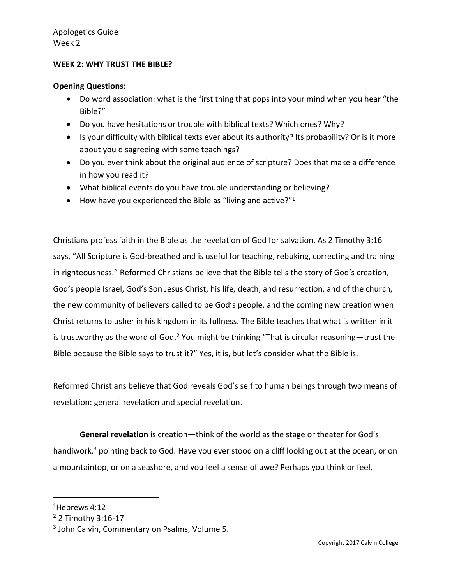### **WEEK 2: WHY TRUST THE BIBLE?**

#### **Opening Questions:**

- Do word association: what is the first thing that pops into your mind when you hear "the Bible?"
- Do you have hesitations or trouble with biblical texts? Which ones? Why?
- Is your difficulty with biblical texts ever about its authority? Its probability? Or is it more about you disagreeing with some teachings?
- Do you ever think about the original audience of scripture? Does that make a difference in how you read it?
- What biblical events do you have trouble understanding or believing?
- $\bullet$  How have you experienced the Bible as "living and active?"<sup>1</sup>

Christians profess faith in the Bible as the revelation of God for salvation. As 2 Timothy 3:16 says, "All Scripture is God-breathed and is useful for teaching, rebuking, correcting and training in righteousness." Reformed Christians believe that the Bible tells the story of God's creation, God's people Israel, God's Son Jesus Christ, his life, death, and resurrection, and of the church, the new community of believers called to be God's people, and the coming new creation when Christ returns to usher in his kingdom in its fullness. The Bible teaches that what is written in it is trustworthy as the word of God.<sup>2</sup> You might be thinking "That is circular reasoning—trust the Bible because the Bible says to trust it?" Yes, it is, but let's consider what the Bible is.

Reformed Christians believe that God reveals God's self to human beings through two means of revelation: general revelation and special revelation.

**General revelation** is creation—think of the world as the stage or theater for God's handiwork, $3$  pointing back to God. Have you ever stood on a cliff looking out at the ocean, or on a mountaintop, or on a seashore, and you feel a sense of awe? Perhaps you think or feel,

<sup>1</sup>Hebrews 4:12

<sup>2</sup> 2 Timothy 3:16-17

<sup>&</sup>lt;sup>3</sup> John Calvin, Commentary on Psalms, Volume 5.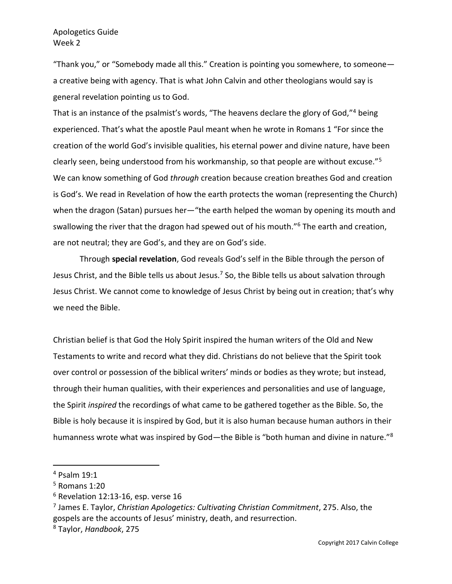# Apologetics Guide Week 2

"Thank you," or "Somebody made all this." Creation is pointing you somewhere, to someone a creative being with agency. That is what John Calvin and other theologians would say is general revelation pointing us to God.

That is an instance of the psalmist's words, "The heavens declare the glory of God,"<sup>4</sup> being experienced. That's what the apostle Paul meant when he wrote in Romans 1 "For since the creation of the world God's invisible qualities, his eternal power and divine nature, have been clearly seen, being understood from his workmanship, so that people are without excuse."<sup>5</sup> We can know something of God *through* creation because creation breathes God and creation is God's. We read in Revelation of how the earth protects the woman (representing the Church) when the dragon (Satan) pursues her—"the earth helped the woman by opening its mouth and swallowing the river that the dragon had spewed out of his mouth."<sup>6</sup> The earth and creation, are not neutral; they are God's, and they are on God's side.

Through **special revelation**, God reveals God's self in the Bible through the person of Jesus Christ, and the Bible tells us about Jesus.<sup>7</sup> So, the Bible tells us about salvation through Jesus Christ. We cannot come to knowledge of Jesus Christ by being out in creation; that's why we need the Bible.

Christian belief is that God the Holy Spirit inspired the human writers of the Old and New Testaments to write and record what they did. Christians do not believe that the Spirit took over control or possession of the biblical writers' minds or bodies as they wrote; but instead, through their human qualities, with their experiences and personalities and use of language, the Spirit *inspired* the recordings of what came to be gathered together as the Bible. So, the Bible is holy because it is inspired by God, but it is also human because human authors in their humanness wrote what was inspired by God—the Bible is "both human and divine in nature."<sup>8</sup>

<sup>4</sup> Psalm 19:1

<sup>5</sup> Romans 1:20

<sup>6</sup> Revelation 12:13-16, esp. verse 16

<sup>7</sup> James E. Taylor, *Christian Apologetics: Cultivating Christian Commitment*, 275. Also, the gospels are the accounts of Jesus' ministry, death, and resurrection.

<sup>8</sup> Taylor, *Handbook*, 275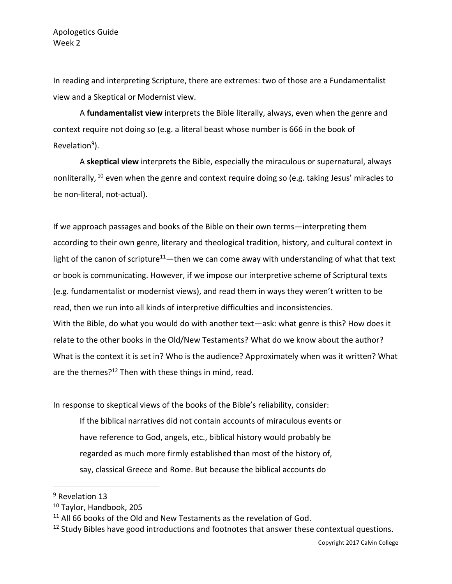In reading and interpreting Scripture, there are extremes: two of those are a Fundamentalist view and a Skeptical or Modernist view.

A **fundamentalist view** interprets the Bible literally, always, even when the genre and context require not doing so (e.g. a literal beast whose number is 666 in the book of Revelation<sup>9</sup>).

A **skeptical view** interprets the Bible, especially the miraculous or supernatural, always nonliterally, <sup>10</sup> even when the genre and context require doing so (e.g. taking Jesus' miracles to be non-literal, not-actual).

If we approach passages and books of the Bible on their own terms—interpreting them according to their own genre, literary and theological tradition, history, and cultural context in light of the canon of scripture<sup>11</sup>—then we can come away with understanding of what that text or book is communicating. However, if we impose our interpretive scheme of Scriptural texts (e.g. fundamentalist or modernist views), and read them in ways they weren't written to be read, then we run into all kinds of interpretive difficulties and inconsistencies. With the Bible, do what you would do with another text—ask: what genre is this? How does it relate to the other books in the Old/New Testaments? What do we know about the author? What is the context it is set in? Who is the audience? Approximately when was it written? What are the themes?<sup>12</sup> Then with these things in mind, read.

In response to skeptical views of the books of the Bible's reliability, consider:

If the biblical narratives did not contain accounts of miraculous events or have reference to God, angels, etc., biblical history would probably be regarded as much more firmly established than most of the history of, say, classical Greece and Rome. But because the biblical accounts do

<sup>&</sup>lt;sup>9</sup> Revelation 13

<sup>10</sup> Taylor, Handbook, 205

<sup>&</sup>lt;sup>11</sup> All 66 books of the Old and New Testaments as the revelation of God.

 $12$  Study Bibles have good introductions and footnotes that answer these contextual questions.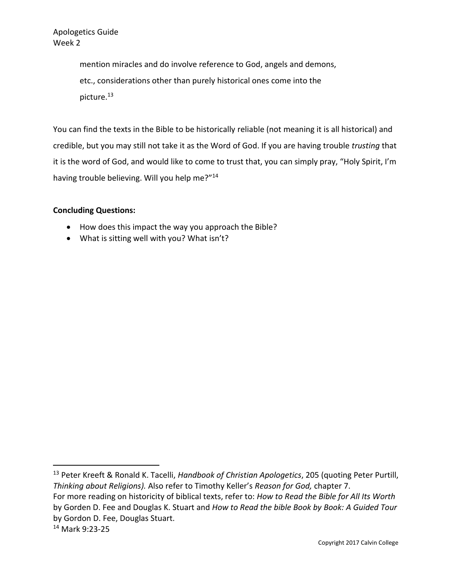Apologetics Guide Week 2

> mention miracles and do involve reference to God, angels and demons, etc., considerations other than purely historical ones come into the picture.<sup>13</sup>

You can find the texts in the Bible to be historically reliable (not meaning it is all historical) and credible, but you may still not take it as the Word of God. If you are having trouble *trusting* that it is the word of God, and would like to come to trust that, you can simply pray, "Holy Spirit, I'm having trouble believing. Will you help me?"<sup>14</sup>

## **Concluding Questions:**

- How does this impact the way you approach the Bible?
- What is sitting well with you? What isn't?

<sup>13</sup> Peter Kreeft & Ronald K. Tacelli, *Handbook of Christian Apologetics*, 205 (quoting Peter Purtill, *Thinking about Religions).* Also refer to Timothy Keller's *Reason for God,* chapter 7.

For more reading on historicity of biblical texts, refer to: *How to Read the Bible for All Its Worth*  by Gorden D. Fee and Douglas K. Stuart and *How to Read the bible Book by Book: A Guided Tour* by Gordon D. Fee, Douglas Stuart.

<sup>14</sup> Mark 9:23-25